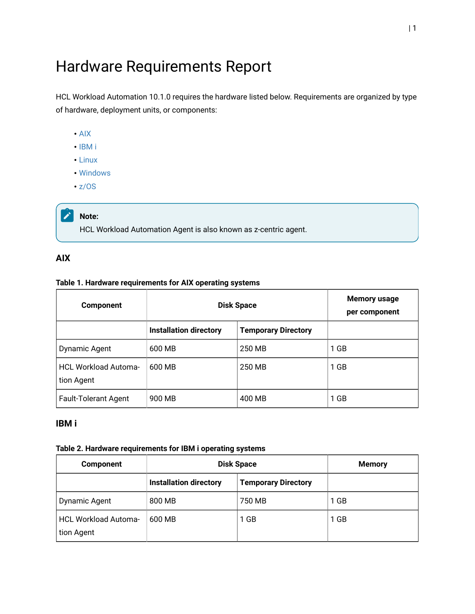# Hardware Requirements Report

HCL Workload Automation 10.1.0 requires the hardware listed below. Requirements are organized by type of hardware, deployment units, or components:

- [AIX](#page-0-0)
- [IBM i](#page-0-1)
- [Linux](#page-1-0)
- [Windows](#page-2-0)
- [z/OS](#page-2-1)

#### $\boldsymbol{z}$ **Note:**

HCL Workload Automation Agent is also known as z-centric agent.

## <span id="page-0-0"></span>**AIX**

#### **Table 1. Hardware requirements for AIX operating systems**

| <b>Component</b>                          | <b>Disk Space</b>             |                            | Memory usage<br>per component |
|-------------------------------------------|-------------------------------|----------------------------|-------------------------------|
|                                           | <b>Installation directory</b> | <b>Temporary Directory</b> |                               |
| Dynamic Agent                             | 600 MB                        | 250 MB                     | 1 GB                          |
| <b>HCL Workload Automa-</b><br>tion Agent | 600 MB                        | 250 MB                     | 1 GB                          |
| <b>Fault-Tolerant Agent</b>               | 900 MB                        | 400 MB                     | 1 GB                          |

### <span id="page-0-1"></span>**IBM i**

#### **Table 2. Hardware requirements for IBM i operating systems**

| <b>Component</b>                   | <b>Disk Space</b>             |                            | <b>Memory</b> |
|------------------------------------|-------------------------------|----------------------------|---------------|
|                                    | <b>Installation directory</b> | <b>Temporary Directory</b> |               |
| <b>Dynamic Agent</b>               | 800 MB                        | 750 MB                     | 1 GB          |
| HCL Workload Automa-<br>tion Agent | 600 MB                        | 1 GB                       | 1 GB          |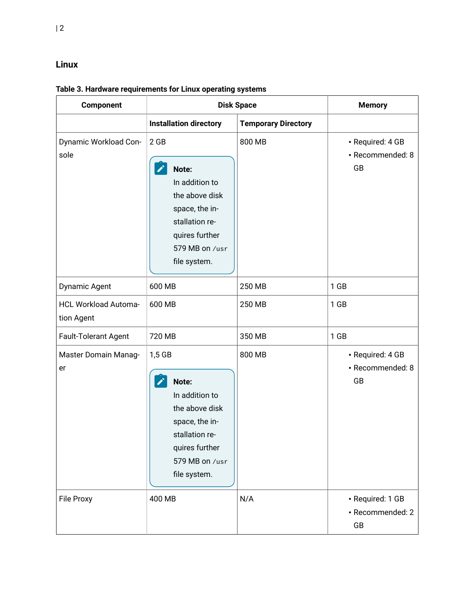## <span id="page-1-0"></span>**Linux**

**Table 3. Hardware requirements for Linux operating systems**

| Component                                 | <b>Disk Space</b>                                                                                                                           |                            | <b>Memory</b>                              |
|-------------------------------------------|---------------------------------------------------------------------------------------------------------------------------------------------|----------------------------|--------------------------------------------|
|                                           | <b>Installation directory</b>                                                                                                               | <b>Temporary Directory</b> |                                            |
| Dynamic Workload Con-<br>sole             | 2 GB<br>Note:<br>In addition to<br>the above disk<br>space, the in-<br>stallation re-<br>quires further<br>579 MB on /usr<br>file system.   | 800 MB                     | · Required: 4 GB<br>· Recommended: 8<br>GB |
| Dynamic Agent                             | 600 MB                                                                                                                                      | 250 MB                     | $1$ GB                                     |
| <b>HCL Workload Automa-</b><br>tion Agent | 600 MB                                                                                                                                      | 250 MB                     | $1$ GB                                     |
| Fault-Tolerant Agent                      | 720 MB                                                                                                                                      | 350 MB                     | $1$ GB                                     |
| Master Domain Manag-<br>er                | 1,5 GB<br>Note:<br>In addition to<br>the above disk<br>space, the in-<br>stallation re-<br>quires further<br>579 MB on /usr<br>file system. | 800 MB                     | · Required: 4 GB<br>· Recommended: 8<br>GB |
| File Proxy                                | 400 MB                                                                                                                                      | N/A                        | · Required: 1 GB<br>· Recommended: 2<br>GB |